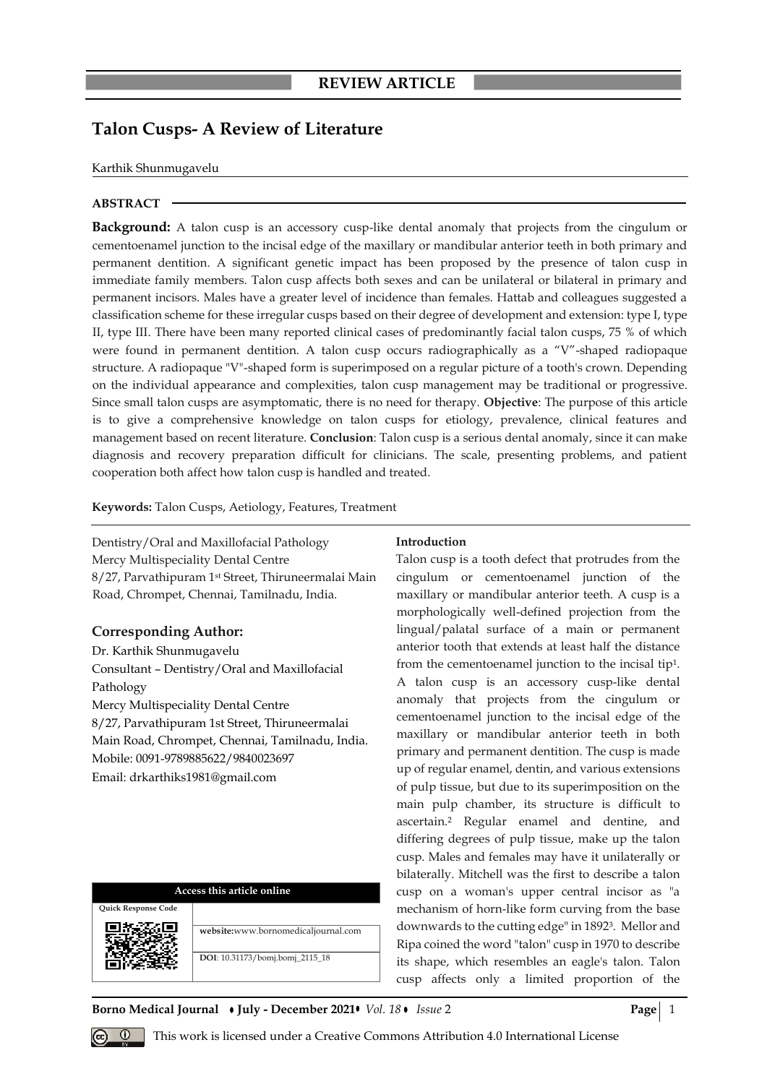# **Talon Cusps- A Review of Literature**

## Karthik Shunmugavelu

# **ABSTRACT**

**Background:** A talon cusp is an accessory cusp-like dental anomaly that projects from the cingulum or cementoenamel junction to the incisal edge of the maxillary or mandibular anterior teeth in both primary and permanent dentition. A significant genetic impact has been proposed by the presence of talon cusp in immediate family members. Talon cusp affects both sexes and can be unilateral or bilateral in primary and permanent incisors. Males have a greater level of incidence than females. Hattab and colleagues suggested a classification scheme for these irregular cusps based on their degree of development and extension: type I, type II, type III. There have been many reported clinical cases of predominantly facial talon cusps, 75 % of which were found in permanent dentition. A talon cusp occurs radiographically as a "V"-shaped radiopaque structure. A radiopaque "V"-shaped form is superimposed on a regular picture of a tooth's crown. Depending on the individual appearance and complexities, talon cusp management may be traditional or progressive. Since small talon cusps are asymptomatic, there is no need for therapy. **Objective**: The purpose of this article is to give a comprehensive knowledge on talon cusps for etiology, prevalence, clinical features and management based on recent literature. **Conclusion**: Talon cusp is a serious dental anomaly, since it can make diagnosis and recovery preparation difficult for clinicians. The scale, presenting problems, and patient cooperation both affect how talon cusp is handled and treated.

**Keywords:** Talon Cusps, Aetiology, Features, Treatment

Dentistry/Oral and Maxillofacial Pathology Mercy Multispeciality Dental Centre 8/27, Parvathipuram 1st Street, Thiruneermalai Main Road, Chrompet, Chennai, Tamilnadu, India.

# **Corresponding Author:**

Dr. Karthik Shunmugavelu Consultant – Dentistry/Oral and Maxillofacial Pathology Mercy Multispeciality Dental Centre 8/27, Parvathipuram 1st Street, Thiruneermalai Main Road, Chrompet, Chennai, Tamilnadu, India. Mobile: 0091-9789885622/9840023697 Email: drkarthiks1981@gmail.com

| Access this article online |                                     |
|----------------------------|-------------------------------------|
| )uick Response Code        |                                     |
|                            | website:www.bornomedicaljournal.com |
|                            | DOI: 10.31173/bomj.bomj_2115_18     |

# **Introduction**

Talon cusp is a tooth defect that protrudes from the cingulum or cementoenamel junction of the maxillary or mandibular anterior teeth. A cusp is a morphologically well-defined projection from the lingual/palatal surface of a main or permanent anterior tooth that extends at least half the distance from the cementoenamel junction to the incisal ti[p](about:blank)<sup>1</sup>. A talon cusp is an accessory cusp-like dental anomaly that projects from the cingulum or cementoenamel junction to the incisal edge of the maxillary or mandibular anterior teeth in both primary and permanent dentition. The cusp is made up of regular enamel, dentin, and various extensions of pulp tissue, but due to its superimposition on the main pulp chamber, its structure is difficult to ascertai[n.](about:blank) <sup>2</sup> Regular enamel and dentine, and differing degrees of pulp tissue, make up the talon cusp. Males and females may have it unilaterally or bilaterally. Mitchell was the first to describe a talon cusp on a woman's upper central incisor as "a mechanism of horn-like form curving from the base downwards to the cutting edge" in 189[2](about:blank)<sup>3</sup> . Mellor and Ripa coined the word "talon" cusp in 1970 to describe its shape, which resembles an eagle's talon. Talon cusp affects only a limited proportion of the

#### **Borno Medical Journal • July - December 2021 •** *Vol.* 18 • *Issue* 2 **Page** 2 **Page** 1



 $\overline{O}$ **u**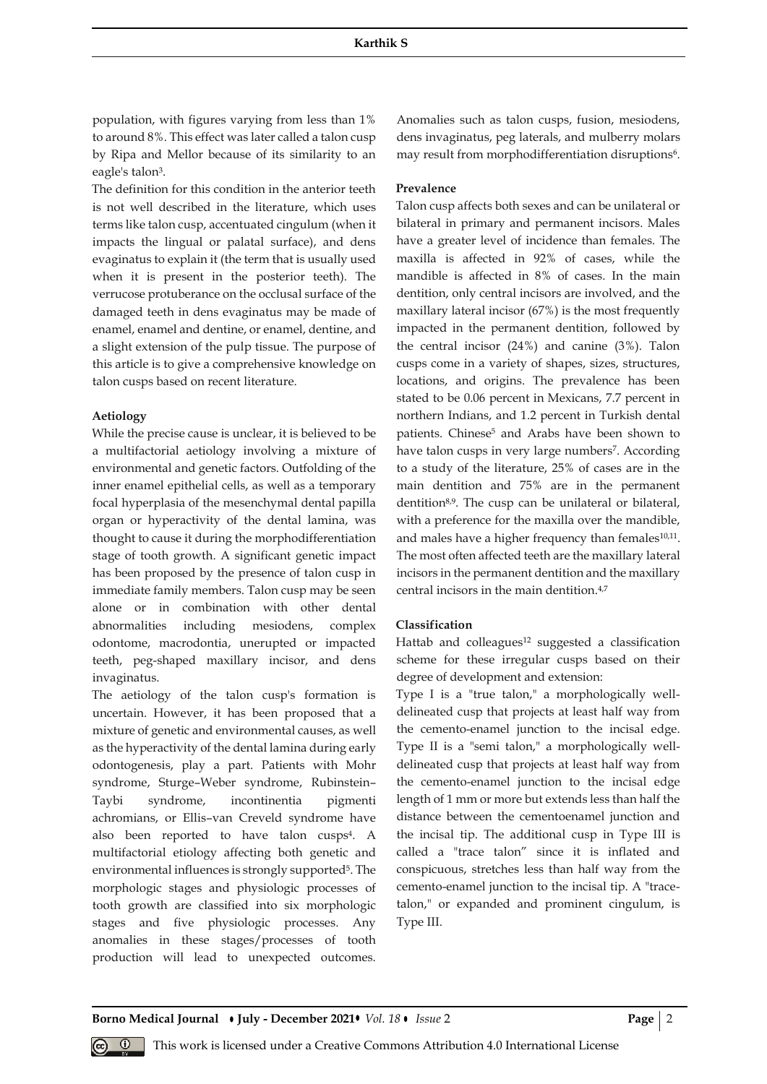population, with figures varying from less than 1% to around 8%. This effect was later called a talon cusp by Ripa and Mellor because of its similarity to an eagle's talon<sup>3</sup>[.](about:blank)

**S** 

The definition for this condition in the anterior teeth is not well described in the literature, which uses terms like talon cusp, accentuated cingulum (when it impacts the lingual or palatal surface), and dens evaginatus to explain it (the term that is usually used when it is present in the posterior teeth). The verrucose protuberance on the occlusal surface of the damaged teeth in dens evaginatus may be made of enamel, enamel and dentine, or enamel, dentine, and a slight extension of the pulp tissue. The purpose of this article is to give a comprehensive knowledge on talon cusps based on recent literature.

## **Aetiology**

While the precise cause is unclear, it is believed to be a multifactorial aetiology involving a mixture of environmental and genetic factors. Outfolding of the inner enamel epithelial cells, as well as a temporary focal hyperplasia of the mesenchymal dental papilla organ or hyperactivity of the dental lamina, was thought to cause it during the morphodifferentiation stage of tooth growth. A significant genetic impact has been proposed by the presence of talon cusp in immediate family members. Talon cusp may be seen alone or in combination with other dental abnormalities including mesiodens, complex odontome, macrodontia, unerupted or impacted teeth, peg-shaped maxillary incisor, and dens invaginatus.

The aetiology of the talon cusp's formation is uncertain. However, it has been proposed that a mixture of genetic and environmental causes, as well as the hyperactivity of the dental lamina during early odontogenesis, play a part. Patients with Mohr syndrome, Sturge–Weber syndrome, Rubinstein– Taybi syndrome, incontinentia pigmenti achromians, or Ellis–van Creveld syndrome have also been reported to have talon cusp[s](about:blank)<sup>4</sup> . A multifactorial etiology affecting both genetic and environmental influences is strongly supported<sup>5</sup>[.](about:blank) The morphologic stages and physiologic processes of tooth growth are classified into six morphologic stages and five physiologic processes. Any anomalies in these stages/processes of tooth production will lead to unexpected outcomes.

Anomalies such as talon cusps, fusion, mesiodens, dens invaginatus, peg laterals, and mulberry molars may re[s](about:blank)ult from morphodifferentiation disruptions<sup>6</sup>.

# **Prevalence**

Talon cusp affects both sexes and can be unilateral or bilateral in primary and permanent incisors. Males have a greater level of incidence than females. The maxilla is affected in 92% of cases, while the mandible is affected in 8% of cases. In the main dentition, only central incisors are involved, and the maxillary lateral incisor (67%) is the most frequently impacted in the permanent dentition, followed by the central incisor (24%) and canine (3%). Talon cusps come in a variety of shapes, sizes, structures, locations, and origins. The prevalence has been stated to be 0.06 percent in Mexicans, 7.7 percent in northern Indians, and 1.2 percent in Turkish dental patients. Chinese<sup>5</sup> and Arabs have been shown to have talon cusps in very large number[s](about:blank)<sup>7</sup> . According to a study of the literature, 25% of cases are in the main dentition and 75% are in the permanent dentition[8,9](about:blank). The cusp can be unilateral or bilateral, with a preference for the maxilla over the mandible, and males have a higher frequency than females<sup>[10,11](about:blank)</sup>. The most often affected teeth are the maxillary lateral incisors in the permanent dentition and the maxillary central incisors in the main dentition.[4,7](about:blank)

#### **Classification**

Hattab and colleagues<sup>[12](about:blank)</sup> suggested a classification scheme for these irregular cusps based on their degree of development and extension:

Type I is a "true talon," a morphologically welldelineated cusp that projects at least half way from the cemento-enamel junction to the incisal edge. Type II is a "semi talon," a morphologically welldelineated cusp that projects at least half way from the cemento-enamel junction to the incisal edge length of 1 mm or more but extends less than half the distance between the cementoenamel junction and the incisal tip. The additional cusp in Type III is called a "trace talon" since it is inflated and conspicuous, stretches less than half way from the cemento-enamel junction to the incisal tip. A "tracetalon," or expanded and prominent cingulum, is Type III.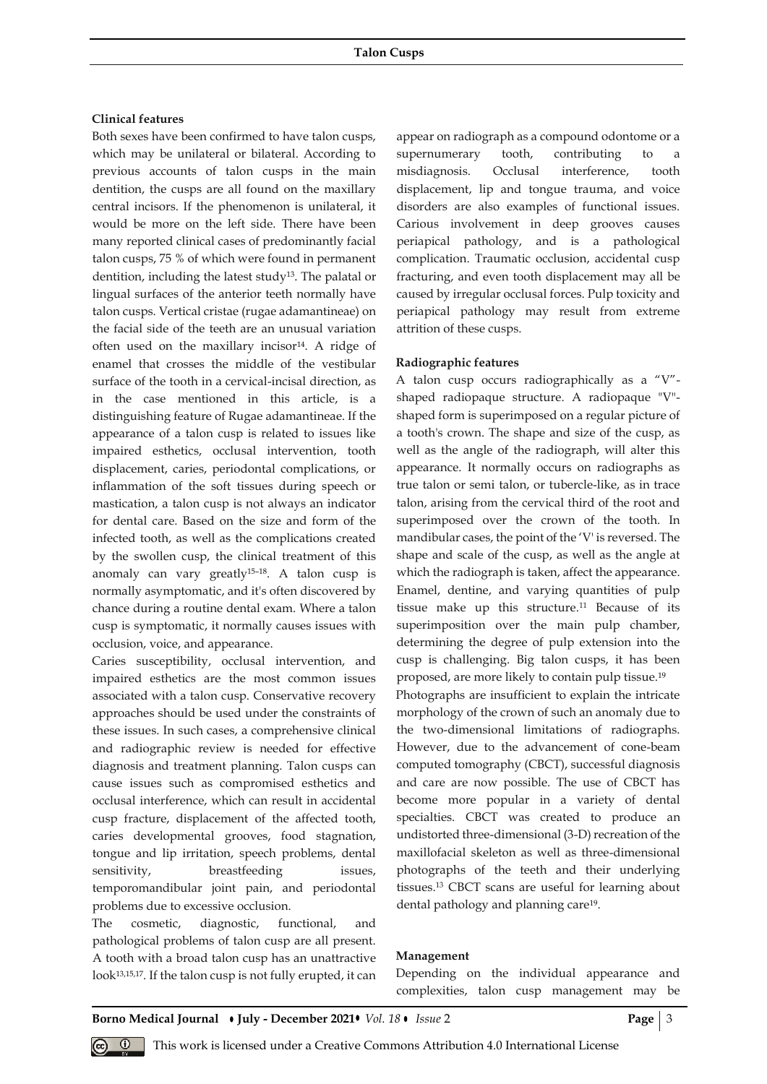# **Clinical features**

Both sexes have been confirmed to have talon cusps, which may be unilateral or bilateral. According to previous accounts of talon cusps in the main dentition, the cusps are all found on the maxillary central incisors. If the phenomenon is unilateral, it would be more on the left side. There have been many reported clinical cases of predominantly facial talon cusps, 75 % of which were found in permanent dentition, including the latest study<sup>[13](about:blank)</sup>. The palatal or lingual surfaces of the anterior teeth normally have talon cusps. Vertical cristae (rugae adamantineae) on the facial side of the teeth are an unusual variation often used on the maxillary incisor<sup>[14](about:blank)</sup>. A ridge of enamel that crosses the middle of the vestibular surface of the tooth in a cervical-incisal direction, as in the case mentioned in this article, is a distinguishing feature of Rugae adamantineae. If the appearance of a talon cusp is related to issues like impaired esthetics, occlusal intervention, tooth displacement, caries, periodontal complications, or inflammation of the soft tissues during speech or mastication, a talon cusp is not always an indicator for dental care. Based on the size and form of the infected tooth, as well as the complications created by the swollen cusp, the clinical treatment of this anomaly can vary greatly[15](about:blank)–18. A talon cusp is normally asymptomatic, and it's often discovered by chance during a routine dental exam. Where a talon cusp is symptomatic, it normally causes issues with occlusion, voice, and appearance.

Caries susceptibility, occlusal intervention, and impaired esthetics are the most common issues associated with a talon cusp. Conservative recovery approaches should be used under the constraints of these issues. In such cases, a comprehensive clinical and radiographic review is needed for effective diagnosis and treatment planning. Talon cusps can cause issues such as compromised esthetics and occlusal interference, which can result in accidental cusp fracture, displacement of the affected tooth, caries developmental grooves, food stagnation, tongue and lip irritation, speech problems, dental sensitivity, breastfeeding issues, temporomandibular joint pain, and periodontal problems due to excessive occlusion.

The cosmetic, diagnostic, functional, and pathological problems of talon cusp are all present. A tooth with a broad talon cusp has an unattractive look<sup>[13,15,17](about:blank)</sup>. If the talon cusp is not fully erupted, it can appear on radiograph as a compound odontome or a supernumerary tooth, contributing to a misdiagnosis. Occlusal interference, tooth displacement, lip and tongue trauma, and voice disorders are also examples of functional issues. Carious involvement in deep grooves causes periapical pathology, and is a pathological complication. Traumatic occlusion, accidental cusp fracturing, and even tooth displacement may all be caused by irregular occlusal forces. Pulp toxicity and periapical pathology may result from extreme attrition of these cusps.

#### **Radiographic features**

A talon cusp occurs radiographically as a "V" shaped radiopaque structure. A radiopaque "V" shaped form is superimposed on a regular picture of a tooth's crown. The shape and size of the cusp, as well as the angle of the radiograph, will alter this appearance. It normally occurs on radiographs as true talon or semi talon, or tubercle-like, as in trace talon, arising from the cervical third of the root and superimposed over the crown of the tooth. In mandibular cases, the point of the 'V' is reversed. The shape and scale of the cusp, as well as the angle at which the radiograph is taken, affect the appearance. Enamel, dentine, and varying quantities of pulp tissue make up this structure. <sup>11</sup> Because of its superimposition over the main pulp chamber, determining the degree of pulp extension into the cusp is challenging. Big talon cusps, it has been proposed, are more likely to contain pulp tissue.[19](about:blank)

Photographs are insufficient to explain the intricate morphology of the crown of such an anomaly due to the two-dimensional limitations of radiographs. However, due to the advancement of cone-beam computed tomography (CBCT), successful diagnosis and care are now possible. The use of CBCT has become more popular in a variety of dental specialties. CBCT was created to produce an undistorted three-dimensional (3-D) recreation of the maxillofacial skeleton as well as three-dimensional photographs of the teeth and their underlying tissues.<sup>13</sup> CBCT scans are useful for learning about dental pathology and planning care<sup>[19](about:blank)</sup>.

#### **Management**

Depending on the individual appearance and complexities, talon cusp management may be

This work is licensed under a Creative Commons Attribution 4.0 International License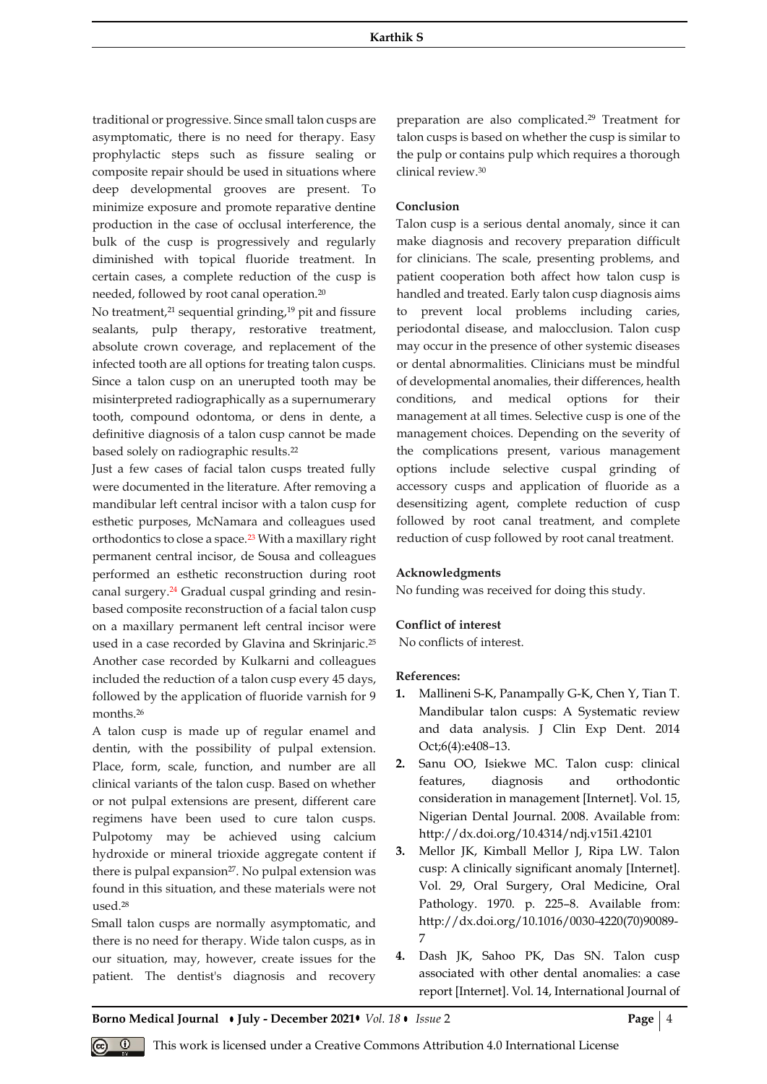traditional or progressive. Since small talon cusps are asymptomatic, there is no need for therapy. Easy prophylactic steps such as fissure sealing or composite repair should be used in situations where deep developmental grooves are present. To minimize exposure and promote reparative dentine production in the case of occlusal interference, the bulk of the cusp is progressively and regularly diminished with topical fluoride treatment. In certain cases, a complete reduction of the cusp is needed, followed by root canal operation.[20](about:blank)

No treatment,<sup>[21](about:blank)</sup> sequential grinding,<sup>[19](about:blank)</sup> pit and fissure sealants, pulp therapy, restorative treatment, absolute crown coverage, and replacement of the infected tooth are all options for treating talon cusps. Since a talon cusp on an unerupted tooth may be misinterpreted radiographically as a supernumerary tooth, compound odontoma, or dens in dente, a definitive diagnosis of a talon cusp cannot be made based solely on radiographic results. [22](about:blank)

Just a few cases of facial talon cusps treated fully were documented in the literature. After removing a mandibular left central incisor with a talon cusp for esthetic purposes, McNamara and colleagues used orthodontics to close a space.<sup>23</sup> With a maxillary right permanent central incisor, de Sousa and colleagues performed an esthetic reconstruction during root canal surgery.<sup>24</sup> Gradual cuspal grinding and resinbased composite reconstruction of a facial talon cusp on a maxillary permanent left central incisor were used in a case recorded by Glavina and Skrinjaric. 25 Another case recorded by Kulkarni and colleagues included the reduction of a talon cusp every 45 days, followed by the application of fluoride varnish for 9 months.<sup>26</sup>

A talon cusp is made up of regular enamel and dentin, with the possibility of pulpal extension. Place, form, scale, function, and number are all clinical variants of the talon cusp. Based on whether or not pulpal extensions are present, different care regimens have been used to cure talon cusps. Pulpotomy may be achieved using calcium hydroxide or mineral trioxide aggregate content if there is pulpal expansion<sup>[27](about:blank)</sup>. No pulpal extension was found in this situation, and these materials were not used. [28](about:blank)

Small talon cusps are normally asymptomatic, and there is no need for therapy. Wide talon cusps, as in our situation, may, however, create issues for the patient. The dentist's diagnosis and recovery preparation are also complicate[d.](about:blank) <sup>29</sup> Treatment for talon cusps is based on whether the cusp is similar to the pulp or contains pulp which requires a thorough clinical review. [30](about:blank)

# **Conclusion**

Talon cusp is a serious dental anomaly, since it can make diagnosis and recovery preparation difficult for clinicians. The scale, presenting problems, and patient cooperation both affect how talon cusp is handled and treated. Early talon cusp diagnosis aims to prevent local problems including caries, periodontal disease, and malocclusion. Talon cusp may occur in the presence of other systemic diseases or dental abnormalities. Clinicians must be mindful of developmental anomalies, their differences, health conditions, and medical options for their management at all times. Selective cusp is one of the management choices. Depending on the severity of the complications present, various management options include selective cuspal grinding of accessory cusps and application of fluoride as a desensitizing agent, complete reduction of cusp followed by root canal treatment, and complete reduction of cusp followed by root canal treatment.

# **Acknowledgments**

No funding was received for doing this study.

#### **Conflict of interest**

No conflicts of interest.

#### **References:**

- **1.** Mallineni S-K, Panampally G-K, Chen Y, Tian T. Mandibular talon cusps: A Systematic review and data analysis. J Clin Exp Dent. 2014 Oct;6(4):e408–13.
- **2.** [Sanu OO, Isiekwe MC. Talon cusp: clinical](about:blank)  [features, diagnosis and orthodontic](about:blank)  [consideration in management \[Internet\]. Vol. 15,](about:blank)  [Nigerian Dental Journal. 2008. Available from:](about:blank)  [http://dx.doi.org/10.4314/ndj.v15i1.42101](about:blank)
- **3.** [Mellor JK, Kimball Mellor J, Ripa LW. Talon](about:blank)  [cusp: A clinically significant anomaly \[Internet\].](about:blank)  [Vol. 29, Oral Surgery, Oral Medicine, Oral](about:blank)  [Pathology. 1970. p. 225](about:blank)–8. Available from: [http://dx.doi.org/10.1016/0030-4220\(70\)90089-](about:blank) [7](about:blank)
- **4.** [Dash JK, Sahoo PK, Das SN. Talon cusp](about:blank)  [associated with other dental anomalies: a case](about:blank)  [report \[Internet\]. Vol. 14, International Journal of](about:blank)

**Borno Medical Journal • July - December 2021 •** *Vol. 18* **•** *Issue* **2 <b>Page | 4 Page | 4** 

This work is licensed under a Creative Commons Attribution 4.0 International License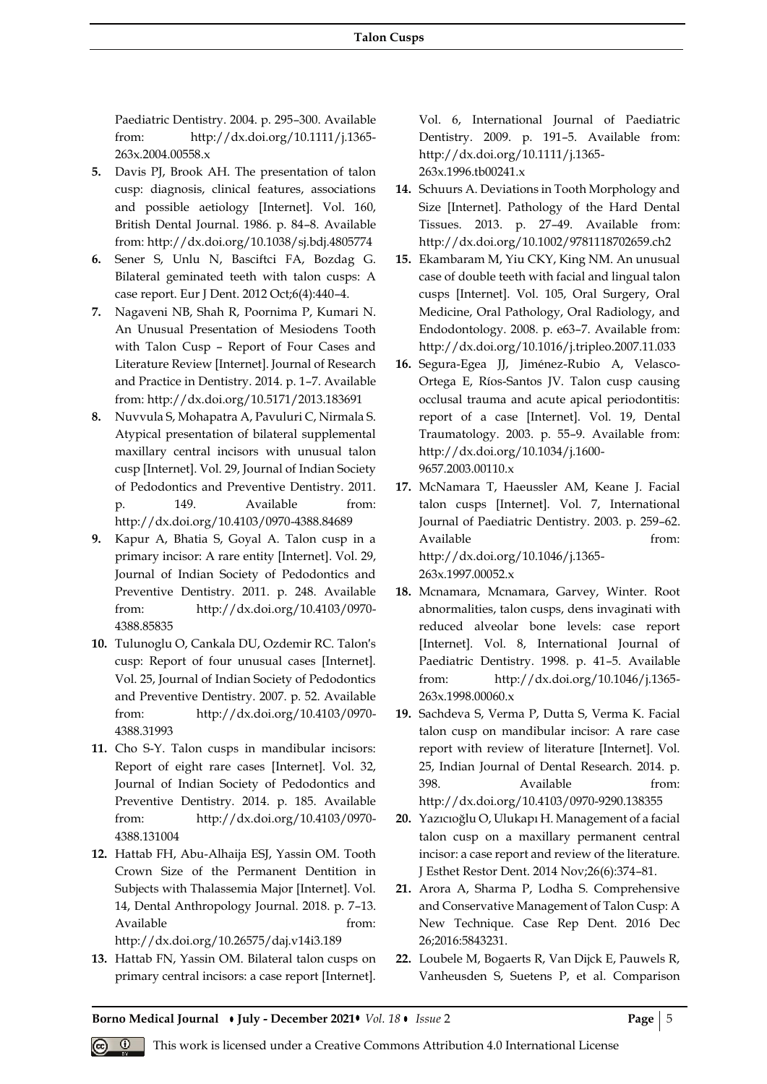[Paediatric Dentistry. 2004. p. 295](about:blank)–300. Available [from: http://dx.doi.org/10.1111/j.1365-](about:blank) [263x.2004.00558.x](about:blank)

- **5.** [Davis PJ, Brook AH. The presentation of talon](about:blank)  [cusp: diagnosis, clinical features, associations](about:blank)  [and possible aetiology \[Internet\]. Vol. 160,](about:blank)  [British Dental Journal. 1986. p. 84](about:blank)–8. Available [from: http://dx.doi.org/10.1038/sj.bdj.4805774](about:blank)
- **6.** [Sener S, Unlu N, Basciftci FA, Bozdag G.](about:blank)  [Bilateral geminated teeth with talon cusps: A](about:blank)  [case report. Eur J Dent. 2012 Oct;6\(4\):440](about:blank)–4.
- **7.** [Nagaveni NB, Shah R, Poornima P, Kumari N.](about:blank)  [An Unusual Presentation of Mesiodens Tooth](about:blank)  with Talon Cusp – [Report of Four Cases and](about:blank)  [Literature Review \[Internet\]. Journal of Research](about:blank)  [and Practice in Dentistry. 2014. p. 1](about:blank)–7. Available [from: http://dx.doi.org/10.5171/2013.183691](about:blank)
- **8.** [Nuvvula S, Mohapatra A, Pavuluri C, Nirmala S.](about:blank)  [Atypical presentation of bilateral supplemental](about:blank)  [maxillary central incisors with unusual talon](about:blank)  [cusp \[Internet\]. Vol. 29, Journal of Indian Society](about:blank)  [of Pedodontics and Preventive Dentistry. 2011.](about:blank)  p. 149. Available from: [http://dx.doi.org/10.4103/0970-4388.84689](about:blank)
- **9.** [Kapur A, Bhatia S, Goyal A. Talon cusp in a](about:blank)  [primary incisor: A rare entity \[Internet\]. Vol. 29,](about:blank)  [Journal of Indian Society of Pedodontics and](about:blank)  [Preventive Dentistry. 2011. p. 248. Available](about:blank)  [from: http://dx.doi.org/10.4103/0970-](about:blank) [4388.85835](about:blank)
- **10.** [Tulunoglu O, Cankala DU, Ozdemir RC. Talon′s](about:blank) [cusp: Report of four unusual cases \[Internet\].](about:blank)  [Vol. 25, Journal of Indian Society of Pedodontics](about:blank)  [and Preventive Dentistry. 2007. p. 52. Available](about:blank)  [from: http://dx.doi.org/10.4103/0970-](about:blank) [4388.31993](about:blank)
- **11.** [Cho S-Y. Talon cusps in mandibular incisors:](about:blank)  [Report of eight rare cases \[Internet\]. Vol. 32,](about:blank)  [Journal of Indian Society of Pedodontics and](about:blank)  [Preventive Dentistry. 2014. p. 185. Available](about:blank)  [from: http://dx.doi.org/10.4103/0970-](about:blank) [4388.131004](about:blank)
- **12.** [Hattab FH, Abu-Alhaija ESJ, Yassin OM. Tooth](about:blank)  [Crown Size of the Permanent Dentition in](about:blank)  [Subjects with Thalassemia Major \[Internet\]. Vol.](about:blank)  [14, Dental Anthropology Journal. 2018. p. 7](about:blank)–13. Available from: [http://dx.doi.org/10.26575/daj.v14i3.189](about:blank)
- **13.** [Hattab FN, Yassin OM. Bilateral talon cusps on](about:blank)  [primary central incisors: a case report \[Internet\].](about:blank)

[Vol. 6, International Journal of Paediatric](about:blank)  [Dentistry. 2009. p. 191](about:blank)–5. Available from: [http://dx.doi.org/10.1111/j.1365-](about:blank) [263x.1996.tb00241.x](about:blank)

- **14.** [Schuurs A. Deviations in Tooth Morphology and](about:blank)  [Size \[Internet\]. Pathology of the Hard Dental](about:blank)  [Tissues. 2013. p. 27](about:blank)–49. Available from: [http://dx.doi.org/10.1002/9781118702659.ch2](about:blank)
- **15.** [Ekambaram M, Yiu CKY, King NM. An unusual](about:blank)  [case of double teeth with facial and lingual talon](about:blank)  [cusps \[Internet\]. Vol. 105, Oral Surgery, Oral](about:blank)  [Medicine, Oral Pathology, Oral Radiology, and](about:blank)  [Endodontology. 2008. p. e63](about:blank)–7. Available from: [http://dx.doi.org/10.1016/j.tripleo.2007.11.033](about:blank)
- **16.** [Segura-Egea JJ, Jiménez-Rubio A, Velasco-](about:blank)[Ortega E, Ríos-Santos JV. Talon cusp causing](about:blank)  [occlusal trauma and acute apical periodontitis:](about:blank)  [report of a case \[Internet\]. Vol. 19, Dental](about:blank)  [Traumatology. 2003. p. 55](about:blank)–9. Available from: [http://dx.doi.org/10.1034/j.1600-](about:blank) [9657.2003.00110.x](about:blank)
- **17.** [McNamara T, Haeussler AM, Keane J. Facial](about:blank)  [talon cusps \[Internet\]. Vol. 7, International](about:blank)  [Journal of Paediatric Dentistry. 2003. p. 259](about:blank)–62. Available from: [http://dx.doi.org/10.1046/j.1365-](about:blank) [263x.1997.00052.x](about:blank)
- **18.** [Mcnamara, Mcnamara, Garvey, Winter. Root](about:blank)  [abnormalities, talon cusps, dens invaginati with](about:blank)  [reduced alveolar bone levels: case report](about:blank)  [\[Internet\]. Vol. 8, International Journal of](about:blank)  [Paediatric Dentistry. 1998. p. 41](about:blank)–5. Available [from: http://dx.doi.org/10.1046/j.1365-](about:blank) [263x.1998.00060.x](about:blank)
- **19.** [Sachdeva S, Verma P, Dutta S, Verma K. Facial](about:blank)  [talon cusp on mandibular incisor: A rare case](about:blank)  [report with review of literature \[Internet\]. Vol.](about:blank)  [25, Indian Journal of Dental Research. 2014. p.](about:blank)  [398. Available from:](about:blank)  [http://dx.doi.org/10.4103/0970-9290.138355](about:blank)
- **20.** [Yazıcıoğlu O, Ulukapı H. Management of a facial](about:blank)  [talon cusp on a maxillary permanent central](about:blank)  [incisor: a case report and review of the literature.](about:blank)  [J Esthet Restor Dent. 2014 Nov;26\(6\):374](about:blank)–81.
- **21.** [Arora A, Sharma P, Lodha S. Comprehensive](about:blank)  [and Conservative Management of Talon Cusp: A](about:blank)  [New Technique. Case Rep Dent. 2016 Dec](about:blank)  [26;2016:5843231.](about:blank)
- **22.** [Loubele M, Bogaerts R, Van Dijck E, Pauwels R,](about:blank)  [Vanheusden S, Suetens P, et al. Comparison](about:blank)

**Borno Medical Journal • July - December 2021 •** *Vol.* 18 • *Issue* 2 **Page** | 5